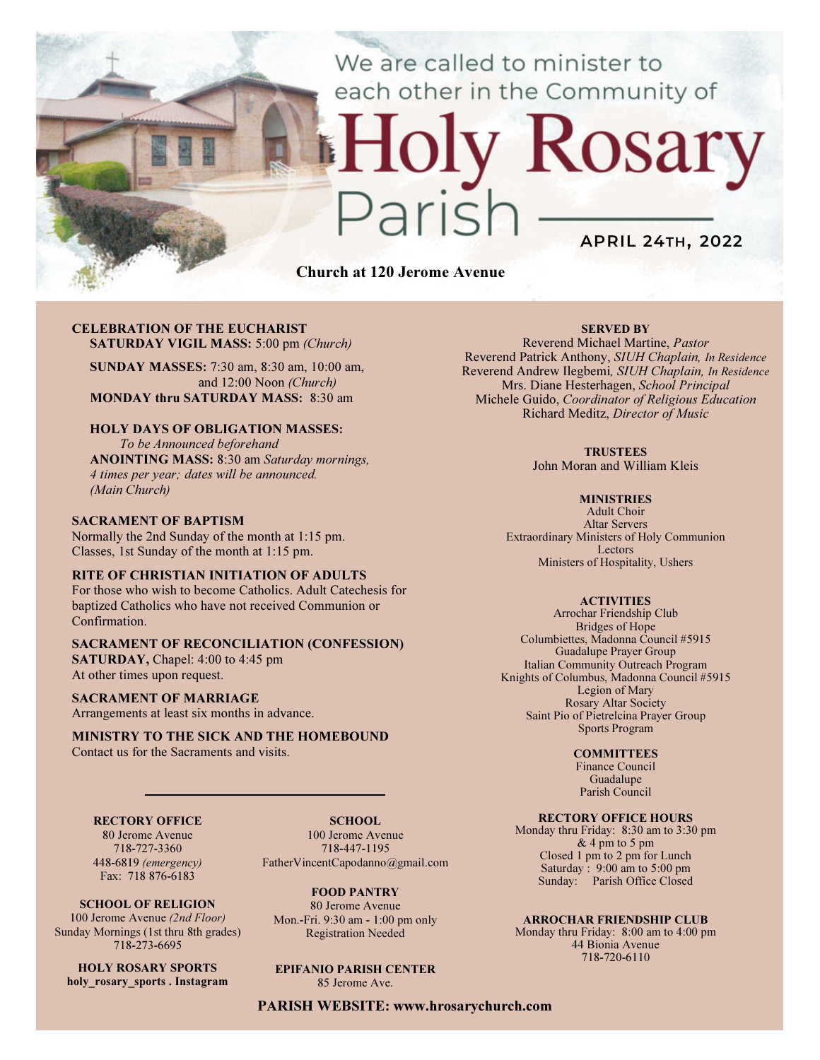We are called to minister to each other in the Community of

# APRIL 24TH, 2022

Church at 120 Jerome Avenue

#### CELEBRATION OF THE EUCHARIST SATURDAY VIGIL MASS: 5:00 pm (Church)

SUNDAY MASSES: 7:30 am, 8:30 am, 10:00 am, and 12:00 Noon (Church) MONDAY thru SATURDAY MASS: 8:30 am

#### HOLY DAYS OF OBLIGATION MASSES:

To be Announced beforehand ANOINTING MASS: 8:30 am Saturday mornings, 4 times per year; dates will be announced. (Main Church)

#### SACRAMENT OF BAPTISM

Normally the 2nd Sunday of the month at 1:15 pm. Classes, 1st Sunday of the month at 1:15 pm.

#### RITE OF CHRISTIAN INITIATION OF ADULTS

For those who wish to become Catholics. Adult Catechesis for baptized Catholics who have not received Communion or Confirmation.

#### SACRAMENT OF RECONCILIATION (CONFESSION)

SATURDAY, Chapel: 4:00 to 4:45 pm At other times upon request.

#### SACRAMENT OF MARRIAGE

Arrangements at least six months in advance.

#### MINISTRY TO THE SICK AND THE HOMEBOUND Contact us for the Sacraments and visits.

### RECTORY OFFICE

80 Jerome Avenue 718-727-3360 448-6819 (emergency) Fax: 718 876-6183

SCHOOL OF RELIGION 100 Jerome Avenue (2nd Floor) Sunday Mornings (1st thru 8th grades) 718-273-6695

HOLY ROSARY SPORTS holy rosary sports . Instagram

SCHOOL. 100 Jerome Avenue 718-447-1195 FatherVincentCapodanno@gmail.com

FOOD PANTRY 80 Jerome Avenue Mon.-Fri. 9:30 am - 1:00 pm only Registration Needed

EPIFANIO PARISH CENTER 85 Jerome Ave.

PARISH WEBSITE: www.hrosarychurch.com

#### SERVED BY

Rosary

Reverend Michael Martine, Pastor Reverend Patrick Anthony, SIUH Chaplain, In Residence Reverend Andrew Ilegbemi, SIUH Chaplain, In Residence Mrs. Diane Hesterhagen, School Principal Michele Guido, Coordinator of Religious Education Richard Meditz, Director of Music

#### **TRUSTEES**

John Moran and William Kleis

#### **MINISTRIES**

Adult Choir Altar Servers Extraordinary Ministers of Holy Communion Lectors Ministers of Hospitality, Ushers

#### **ACTIVITIES**

Arrochar Friendship Club Bridges of Hope Columbiettes, Madonna Council #5915 Guadalupe Prayer Group Italian Community Outreach Program Knights of Columbus, Madonna Council #5915 Legion of Mary Rosary Altar Society Saint Pio of Pietrelcina Prayer Group Sports Program

#### **COMMITTEES**

Finance Council Guadalupe Parish Council

#### RECTORY OFFICE HOURS

Monday thru Friday: 8:30 am to 3:30 pm & 4 pm to 5 pm Closed 1 pm to 2 pm for Lunch Saturday:  $9:00 \text{ am to } 5:00 \text{ pm}$ Sunday: Parish Office Closed

#### ARROCHAR FRIENDSHIP CLUB

Monday thru Friday: 8:00 am to 4:00 pm 44 Bionia Avenue 718-720-6110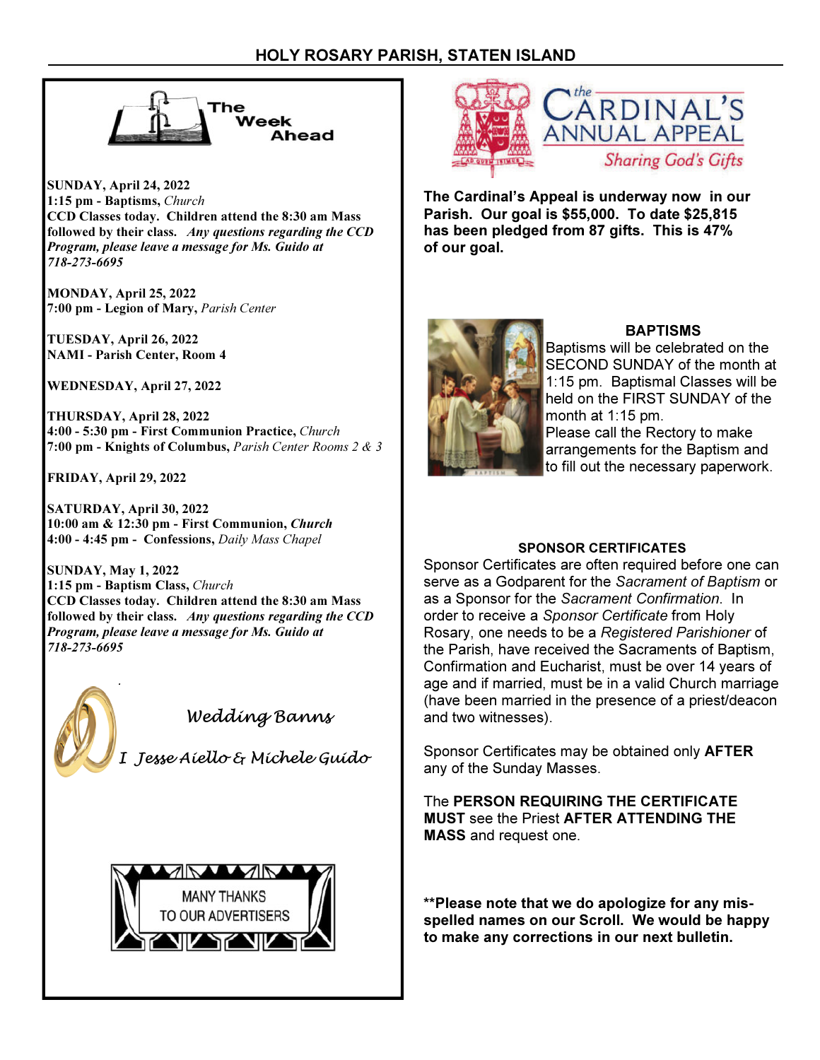

SUNDAY, April 24, 2022 1:15 pm - Baptisms, Church CCD Classes today. Children attend the 8:30 am Mass followed by their class. Any questions regarding the CCD Program, please leave a message for Ms. Guido at 718-273-6695

MONDAY, April 25, 2022 7:00 pm - Legion of Mary, Parish Center

TUESDAY, April 26, 2022 NAMI - Parish Center, Room 4

WEDNESDAY, April 27, 2022

THURSDAY, April 28, 2022 4:00 - 5:30 pm - First Communion Practice, Church 7:00 pm - Knights of Columbus, Parish Center Rooms 2 & 3

FRIDAY, April 29, 2022

SATURDAY, April 30, 2022 10:00 am & 12:30 pm - First Communion, Church 4:00 - 4:45 pm - Confessions, Daily Mass Chapel

SUNDAY, May 1, 2022 1:15 pm - Baptism Class, Church CCD Classes today. Children attend the 8:30 am Mass followed by their class. Any questions regarding the CCD Program, please leave a message for Ms. Guido at 718-273-6695



# Wedding Banns

I Jesse Aiello & Michele Guido





The Cardinal's Appeal is underway now in our Parish. Our goal is \$55,000. To date \$25,815 has been pledged from 87 gifts. This is 47% of our goal.



# **BAPTISMS**

Baptisms will be celebrated on the SECOND SUNDAY of the month at 1:15 pm. Baptismal Classes will be held on the FIRST SUNDAY of the month at 1:15 pm. Please call the Rectory to make arrangements for the Baptism and to fill out the necessary paperwork.

# SPONSOR CERTIFICATES

Sponsor Certificates are often required before one can serve as a Godparent for the Sacrament of Baptism or as a Sponsor for the Sacrament Confirmation. In order to receive a Sponsor Certificate from Holy Rosary, one needs to be a Registered Parishioner of the Parish, have received the Sacraments of Baptism, Confirmation and Eucharist, must be over 14 years of age and if married, must be in a valid Church marriage (have been married in the presence of a priest/deacon and two witnesses).

Sponsor Certificates may be obtained only AFTER any of the Sunday Masses.

The PERSON REQUIRING THE CERTIFICATE MUST see the Priest AFTER ATTENDING THE MASS and request one.

\*\*Please note that we do apologize for any misspelled names on our Scroll. We would be happy to make any corrections in our next bulletin.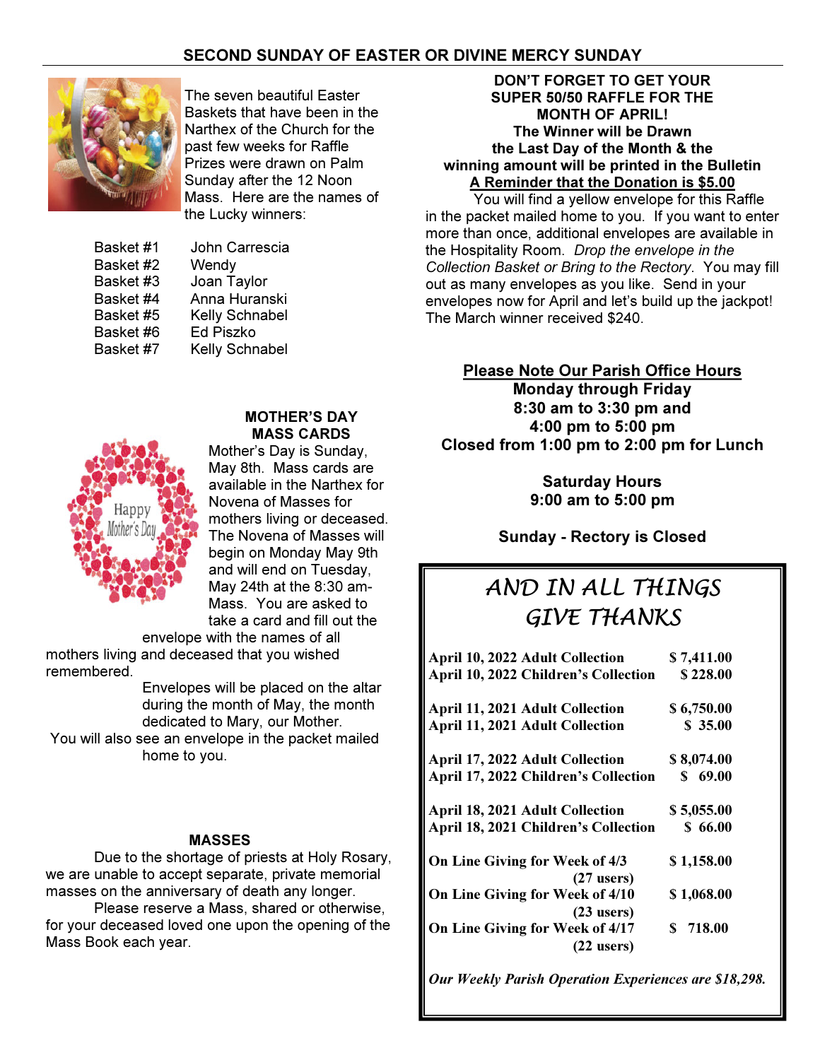# SECOND SUNDAY OF EASTER OR DIVINE MERCY SUNDAY



The seven beautiful Easter Baskets that have been in the Narthex of the Church for the past few weeks for Raffle Prizes were drawn on Palm Sunday after the 12 Noon Mass. Here are the names of the Lucky winners:

| Basket #1 | John Carrescia   |
|-----------|------------------|
| Basket #2 | Wendy            |
| Basket #3 | Joan Taylor      |
| Basket #4 | Anna Huranski    |
| Basket #5 | Kelly Schnabel   |
| Basket #6 | <b>Ed Piszko</b> |
| Basket #7 | Kelly Schnabel   |

## MOTHER'S DAY MASS CARDS



Mother's Day is Sunday, May 8th. Mass cards are available in the Narthex for Novena of Masses for mothers living or deceased. The Novena of Masses will begin on Monday May 9th and will end on Tuesday, May 24th at the 8:30 am-Mass. You are asked to take a card and fill out the

envelope with the names of all mothers living and deceased that you wished remembered.

> Envelopes will be placed on the altar during the month of May, the month dedicated to Mary, our Mother.

 You will also see an envelope in the packet mailed home to you.

#### MASSES

 Due to the shortage of priests at Holy Rosary, we are unable to accept separate, private memorial masses on the anniversary of death any longer.

 Please reserve a Mass, shared or otherwise, for your deceased loved one upon the opening of the Mass Book each year.

#### DON'T FORGET TO GET YOUR SUPER 50/50 RAFFLE FOR THE MONTH OF APRIL! The Winner will be Drawn the Last Day of the Month & the winning amount will be printed in the Bulletin A Reminder that the Donation is \$5.00

 You will find a yellow envelope for this Raffle in the packet mailed home to you. If you want to enter more than once, additional envelopes are available in the Hospitality Room. Drop the envelope in the Collection Basket or Bring to the Rectory. You may fill out as many envelopes as you like. Send in your envelopes now for April and let's build up the jackpot! The March winner received \$240.

# Please Note Our Parish Office Hours

Monday through Friday 8:30 am to 3:30 pm and 4:00 pm to 5:00 pm Closed from 1:00 pm to 2:00 pm for Lunch

> Saturday Hours 9:00 am to 5:00 pm

Sunday - Rectory is Closed

# AND IN ALL THINGS GIVE THANKS

| April 10, 2022 Adult Collection                 | \$7,411.00 |
|-------------------------------------------------|------------|
| April 10, 2022 Children's Collection            | \$228.00   |
| <b>April 11, 2021 Adult Collection</b>          | \$6,750.00 |
| <b>April 11, 2021 Adult Collection</b>          | \$ 35.00   |
| April 17, 2022 Adult Collection                 | \$8,074.00 |
| April 17, 2022 Children's Collection            | \$69.00    |
| <b>April 18, 2021 Adult Collection</b>          | \$5,055.00 |
| April 18, 2021 Children's Collection            | \$66.00    |
| On Line Giving for Week of 4/3<br>$(27$ users)  | \$1,158.00 |
| On Line Giving for Week of 4/10<br>$(23$ users) | \$1,068.00 |
| On Line Giving for Week of 4/17<br>$(22$ users) | \$718.00   |

Our Weekly Parish Operation Experiences are \$18,298.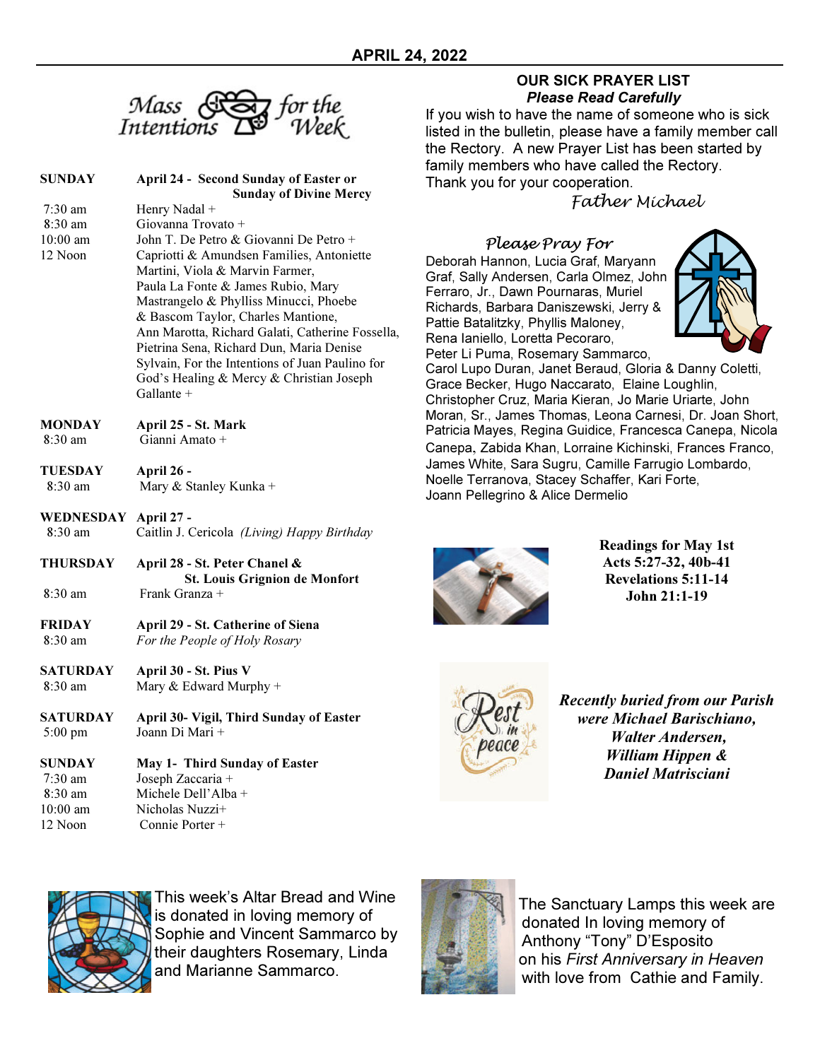

| <b>SUNDAY</b> | <b>April 24 - Second Sunday of Easter or</b>     |
|---------------|--------------------------------------------------|
|               | <b>Sunday of Divine Mercy</b>                    |
| $7:30$ am     | Henry Nadal +                                    |
| $8:30$ am     | Giovanna Trovato +                               |
| $10:00$ am    | John T. De Petro & Giovanni De Petro +           |
| 12 Noon       | Capriotti & Amundsen Families, Antoniette        |
|               | Martini, Viola & Marvin Farmer,                  |
|               | Paula La Fonte & James Rubio, Mary               |
|               | Mastrangelo & Phylliss Minucci, Phoebe           |
|               | & Bascom Taylor, Charles Mantione,               |
|               | Ann Marotta, Richard Galati, Catherine Fossella, |
|               | Pietrina Sena, Richard Dun, Maria Denise         |
|               | Sylvain, For the Intentions of Juan Paulino for  |
|               | God's Healing & Mercy & Christian Joseph         |
|               | Gallante $+$                                     |
| <b>MONDAY</b> | April 25 - St. Mark                              |
| 8:30 am       | Gianni Amato +                                   |

- TUESDAY April 26 8:30 am Mary & Stanley Kunka +
- WEDNESDAY April 27 8:30 am Caitlin J. Cericola (Living) Happy Birthday
- THURSDAY April 28 St. Peter Chanel & St. Louis Grignion de Monfort 8:30 am Frank Granza +
- FRIDAY April 29 St. Catherine of Siena 8:30 am For the People of Holy Rosary
- SATURDAY April 30 St. Pius V 8:30 am Mary & Edward Murphy +
- SATURDAY April 30- Vigil, Third Sunday of Easter 5:00 pm Joann Di Mari +

#### SUNDAY May 1- Third Sunday of Easter 7:30 am Joseph Zaccaria + 8:30 am Michele Dell'Alba + 10:00 am Nicholas Nuzzi+ 12 Noon Connie Porter +

# OUR SICK PRAYER LIST Please Read Carefully

If you wish to have the name of someone who is sick listed in the bulletin, please have a family member call the Rectory. A new Prayer List has been started by family members who have called the Rectory. Thank you for your cooperation.

Father Michael

Please Pray For Deborah Hannon, Lucia Graf, Maryann Graf, Sally Andersen, Carla Olmez, John Ferraro, Jr., Dawn Pournaras, Muriel Richards, Barbara Daniszewski, Jerry & Pattie Batalitzky, Phyllis Maloney, Rena Ianiello, Loretta Pecoraro, Peter Li Puma, Rosemary Sammarco,



Carol Lupo Duran, Janet Beraud, Gloria & Danny Coletti, Grace Becker, Hugo Naccarato, Elaine Loughlin, Christopher Cruz, Maria Kieran, Jo Marie Uriarte, John Moran, Sr., James Thomas, Leona Carnesi, Dr. Joan Short, Patricia Mayes, Regina Guidice, Francesca Canepa, Nicola Canepa, Zabida Khan, Lorraine Kichinski, Frances Franco, James White, Sara Sugru, Camille Farrugio Lombardo, Noelle Terranova, Stacey Schaffer, Kari Forte, Joann Pellegrino & Alice Dermelio



Readings for May 1st Acts 5:27-32, 40b-41 Revelations 5:11-14 John 21:1-19



Recently buried from our Parish were Michael Barischiano, Walter Andersen, William Hippen & Daniel Matrisciani



This week's Altar Bread and Wine is donated in loving memory of Sophie and Vincent Sammarco by their daughters Rosemary, Linda and Marianne Sammarco.



The Sanctuary Lamps this week are donated In loving memory of Anthony "Tony" D'Esposito on his First Anniversary in Heaven with love from Cathie and Family.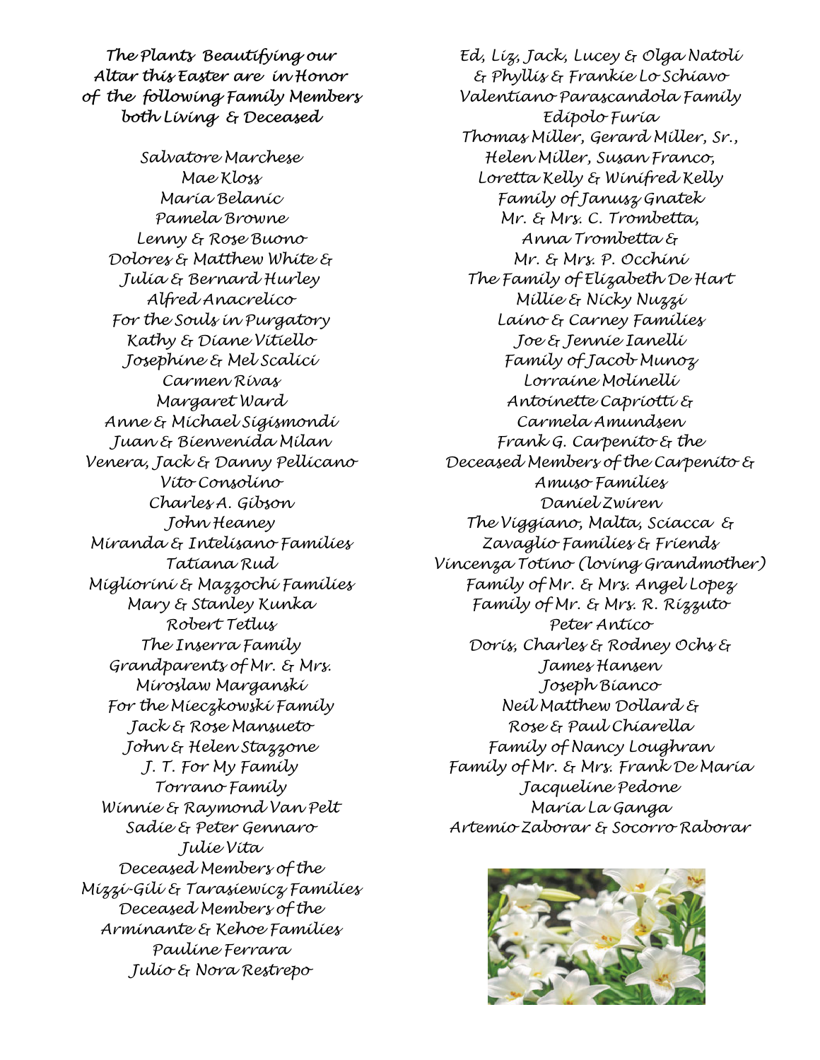The Plants Beautifying our Altar this Easter are in Honor of the following Family Members both Living & Deceased

Salvatore Marchese Mae Kloss Maria Belanic Pamela Browne Lenny & Rose Buono Dolores & Matthew White & Julia & Bernard Hurley Alfred Anacrelico For the Souls in Purgatory Kathy & Diane Vitiello Josephine & Mel Scalici Carmen Rivas Margaret Ward Anne & Michael Sigismondi Juan & Bienvenida Milan Venera, Jack & Danny Pellicano Vito Consolino Charles A. Gibson John Heaney Miranda & Intelisano Families Tatiana Rud Migliorini & Mazzochi Families Mary & Stanley Kunka Robert Tetlus The Inserra Family Grandparents of Mr. & Mrs. Miroslaw Marganski For the Mieczkowski Family Jack & Rose Mansueto John & Helen Stazzone J. T. For My Family Torrano Family Winnie & Raymond Van Pelt Sadie & Peter Gennaro Julie Vita Deceased Members of the Mizzi-Gili & Tarasiewicz Families Deceased Members of the Arminante & Kehoe Families Pauline Ferrara Julio & Nora Restrepo

Ed, Liz, Jack, Lucey & Olga Natoli & Phyllis & Frankie Lo Schiavo Valentiano Parascandola Family Edipolo Furia Thomas Miller, Gerard Miller, Sr., Helen Miller, Susan Franco, Loretta Kelly & Winifred Kelly Family of Janusz Gnatek Mr. & Mrs. C. Trombetta, Anna Trombetta & Mr. & Mrs. P. Occhini The Family of Elizabeth De Hart Millie & Nicky Nuzzi Laino & Carney Families Joe & Jennie Ianelli Family of Jacob Munoz Lorraine Molinelli Antoinette Capriotti & Carmela Amundsen Frank G. Carpenito & the Deceased Members of the Carpenito & Amuso Families Daniel Zwiren The Viggiano, Malta, Sciacca & Zavaglio Families & Friends Vincenza Totino (loving Grandmother) Family of Mr. & Mrs. Angel Lopez Family of Mr. & Mrs. R. Rizzuto Peter Antico Doris, Charles & Rodney Ochs & James Hansen Joseph Bianco Neil Matthew Dollard & Rose & Paul Chiarella Family of Nancy Loughran Family of Mr. & Mrs. Frank De Maria Jacqueline Pedone Maria La Ganga Artemio Zaborar & Socorro Raborar